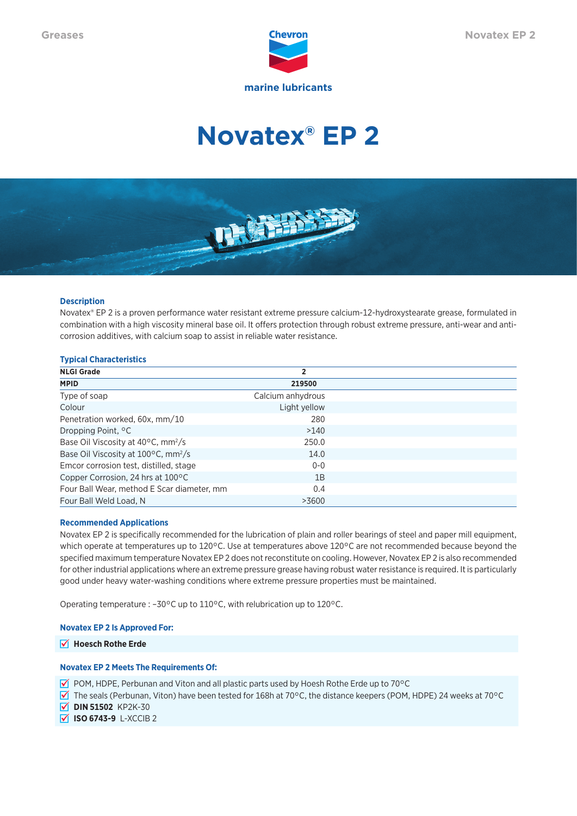

# **Novatex® EP 2**



# **Description**

Novatex® EP 2 is a proven performance water resistant extreme pressure calcium-12-hydroxystearate grease, formulated in combination with a high viscosity mineral base oil. It offers protection through robust extreme pressure, anti-wear and anticorrosion additives, with calcium soap to assist in reliable water resistance.

# **Typical Characteristics**

| <b>NLGI Grade</b>                                         | 2                 |  |
|-----------------------------------------------------------|-------------------|--|
| <b>MPID</b>                                               | 219500            |  |
| Type of soap                                              | Calcium anhydrous |  |
| Colour                                                    | Light yellow      |  |
| Penetration worked, 60x, mm/10                            | 280               |  |
| Dropping Point, <sup>o</sup> C                            | >140              |  |
| Base Oil Viscosity at 40°C, mm <sup>2</sup> /s            | 250.0             |  |
| Base Oil Viscosity at $100^{\circ}$ C, mm <sup>2</sup> /s | 14.0              |  |
| Emcor corrosion test, distilled, stage                    | $0 - 0$           |  |
| Copper Corrosion, 24 hrs at 100°C                         | 1B                |  |
| Four Ball Wear, method E Scar diameter, mm                | 0.4               |  |
| Four Ball Weld Load, N                                    | >3600             |  |

# **Recommended Applications**

Novatex EP 2 is specifically recommended for the lubrication of plain and roller bearings of steel and paper mill equipment, which operate at temperatures up to 120°C. Use at temperatures above 120°C are not recommended because beyond the specified maximum temperature Novatex EP 2 does not reconstitute on cooling. However, Novatex EP 2 is also recommended for other industrial applications where an extreme pressure grease having robust water resistance is required. It is particularly good under heavy water-washing conditions where extreme pressure properties must be maintained.

Operating temperature : –30°C up to 110°C, with relubrication up to 120°C.

### **Novatex EP 2 Is Approved For:**

**M** Hoesch Rothe Erde

# **Novatex EP 2 Meets The Requirements Of:**

 $\blacktriangleright$  POM, HDPE, Perbunan and Viton and all plastic parts used by Hoesh Rothe Erde up to 70°C

 $\overline{V}$  The seals (Perbunan, Viton) have been tested for 168h at 70°C, the distance keepers (POM, HDPE) 24 weeks at 70°C

 $\sqrt{ }$  **DIN 51502** KP2K-30

 $\overline{V}$  **ISO 6743-9** L-XCCIB 2